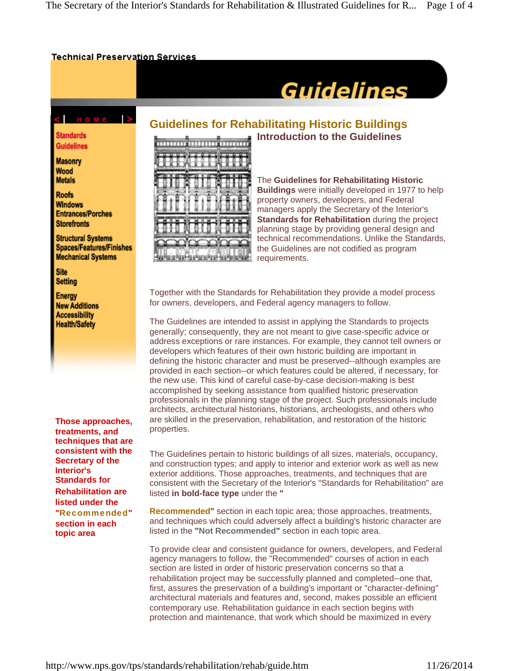#### **Technical Preservation Services**

# **Guidelines**

# < HOME >

**Standards Guidelines** 

**Masonry** Wood **Metals** 

**Roofs Windows Entrances/Porches Storefronts** 

**Structural Systems Spaces/Features/Finishes Mechanical Systems** 

**Site** Setting

**Energy New Additions Accessibility Health/Safety** 

**Those approaches, treatments, and techniques that are consistent with the Secretary of the Interior's Standards for Rehabilitation are listed under the**  "Recommended" **section in each topic area** 

## **Guidelines for Rehabilitating Historic Buildings Introduction to the Guidelines**



The **Guidelines for Rehabilitating Historic Buildings** were initially developed in 1977 to help property owners, developers, and Federal managers apply the Secretary of the Interior's **Standards for Rehabilitation** during the project planning stage by providing general design and technical recommendations. Unlike the Standards, the Guidelines are not codified as program requirements.

Together with the Standards for Rehabilitation they provide a model process for owners, developers, and Federal agency managers to follow.

The Guidelines are intended to assist in applying the Standards to projects generally; consequently, they are not meant to give case-specific advice or address exceptions or rare instances. For example, they cannot tell owners or developers which features of their own historic building are important in defining the historic character and must be preserved--although examples are provided in each section--or which features could be altered, if necessary, for the new use. This kind of careful case-by-case decision-making is best accomplished by seeking assistance from qualified historic preservation professionals in the planning stage of the project. Such professionals include architects, architectural historians, historians, archeologists, and others who are skilled in the preservation, rehabilitation, and restoration of the historic properties.

The Guidelines pertain to historic buildings of all sizes, materials, occupancy, and construction types; and apply to interior and exterior work as well as new exterior additions. Those approaches, treatments, and techniques that are consistent with the Secretary of the Interior's "Standards for Rehabilitation" are listed **in bold-face type** under the **"**

**Recommended"** section in each topic area; those approaches, treatments, and techniques which could adversely affect a building's historic character are listed in the **"Not Recommended"** section in each topic area.

To provide clear and consistent guidance for owners, developers, and Federal agency managers to follow, the "Recommended" courses of action in each section are listed in order of historic preservation concerns so that a rehabilitation project may be successfully planned and completed--one that, first, assures the preservation of a building's important or "character-defining" architectural materials and features and, second, makes possible an efficient contemporary use. Rehabilitation guidance in each section begins with protection and maintenance, that work which should be maximized in every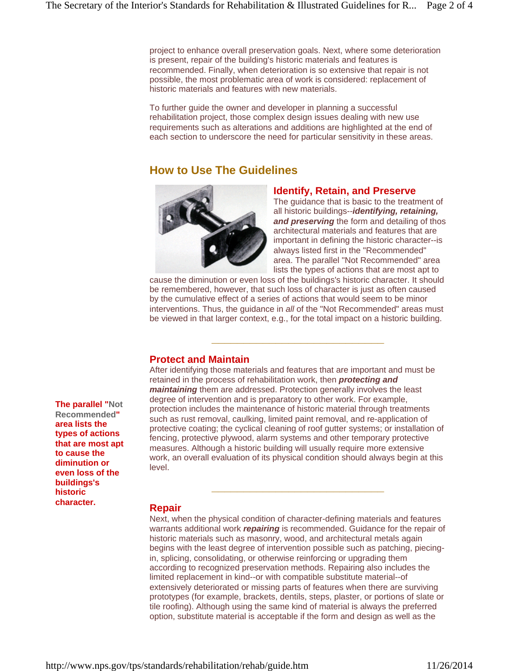project to enhance overall preservation goals. Next, where some deterioration is present, repair of the building's historic materials and features is recommended. Finally, when deterioration is so extensive that repair is not possible, the most problematic area of work is considered: replacement of historic materials and features with new materials.

To further guide the owner and developer in planning a successful rehabilitation project, those complex design issues dealing with new use requirements such as alterations and additions are highlighted at the end of each section to underscore the need for particular sensitivity in these areas.

# **How to Use The Guidelines**



#### **Identify, Retain, and Preserve**

The quidance that is basic to the treatment of all historic buildings--*identifying, retaining,*  **and preserving** the form and detailing of thos architectural materials and features that are important in defining the historic character--is always listed first in the "Recommended" area. The parallel "Not Recommended" area lists the types of actions that are most apt to

cause the diminution or even loss of the buildings's historic character. It should be remembered, however, that such loss of character is just as often caused by the cumulative effect of a series of actions that would seem to be minor interventions. Thus, the guidance in *all* of the "Not Recommended" areas must be viewed in that larger context, e.g., for the total impact on a historic building.

**\_\_\_\_\_\_\_\_\_\_\_\_\_\_\_\_\_\_\_\_\_\_\_\_\_\_\_**

#### **Protect and Maintain**

After identifying those materials and features that are important and must be retained in the process of rehabilitation work, then *protecting and maintaining* them are addressed. Protection generally involves the least degree of intervention and is preparatory to other work. For example, protection includes the maintenance of historic material through treatments such as rust removal, caulking, limited paint removal, and re-application of protective coating; the cyclical cleaning of roof gutter systems; or installation of fencing, protective plywood, alarm systems and other temporary protective measures. Although a historic building will usually require more extensive work, an overall evaluation of its physical condition should always begin at this level.

**\_\_\_\_\_\_\_\_\_\_\_\_\_\_\_\_\_\_\_\_\_\_\_\_\_\_\_**

#### **Repair**

Next, when the physical condition of character-defining materials and features warrants additional work *repairing* is recommended. Guidance for the repair of historic materials such as masonry, wood, and architectural metals again begins with the least degree of intervention possible such as patching, piecingin, splicing, consolidating, or otherwise reinforcing or upgrading them according to recognized preservation methods. Repairing also includes the limited replacement in kind--or with compatible substitute material--of extensively deteriorated or missing parts of features when there are surviving prototypes (for example, brackets, dentils, steps, plaster, or portions of slate or tile roofing). Although using the same kind of material is always the preferred option, substitute material is acceptable if the form and design as well as the

**The parallel "Not Recommended" area lists the types of actions that are most apt to cause the diminution or even loss of the buildings's historic character.**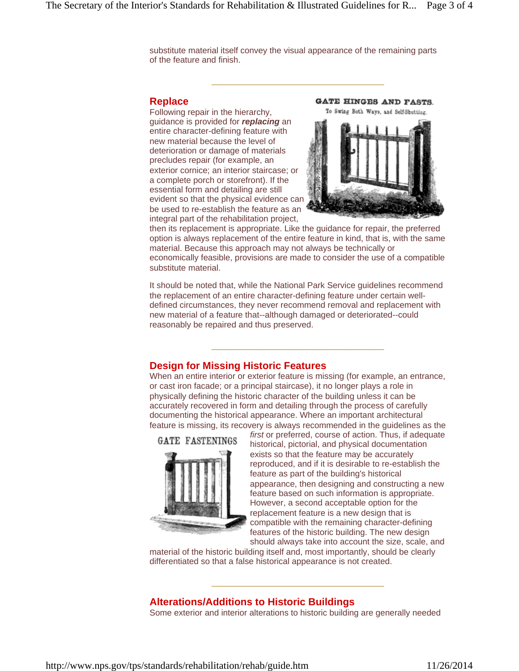substitute material itself convey the visual appearance of the remaining parts of the feature and finish.

**\_\_\_\_\_\_\_\_\_\_\_\_\_\_\_\_\_\_\_\_\_\_\_\_\_\_\_**

#### **Replace**

Following repair in the hierarchy, guidance is provided for *replacing* an entire character-defining feature with new material because the level of deterioration or damage of materials precludes repair (for example, an exterior cornice; an interior staircase; or a complete porch or storefront). If the essential form and detailing are still evident so that the physical evidence can be used to re-establish the feature as an integral part of the rehabilitation project,



then its replacement is appropriate. Like the guidance for repair, the preferred option is always replacement of the entire feature in kind, that is, with the same material. Because this approach may not always be technically or economically feasible, provisions are made to consider the use of a compatible substitute material.

It should be noted that, while the National Park Service guidelines recommend the replacement of an entire character-defining feature under certain welldefined circumstances, they never recommend removal and replacement with new material of a feature that--although damaged or deteriorated--could reasonably be repaired and thus preserved.

**\_\_\_\_\_\_\_\_\_\_\_\_\_\_\_\_\_\_\_\_\_\_\_\_\_\_\_**

#### **Design for Missing Historic Features**

When an entire interior or exterior feature is missing (for example, an entrance, or cast iron facade; or a principal staircase), it no longer plays a role in physically defining the historic character of the building unless it can be accurately recovered in form and detailing through the process of carefully documenting the historical appearance. Where an important architectural feature is missing, its recovery is always recommended in the guidelines as the





*first* or preferred, course of action. Thus, if adequate historical, pictorial, and physical documentation exists so that the feature may be accurately reproduced, and if it is desirable to re-establish the feature as part of the building's historical appearance, then designing and constructing a new feature based on such information is appropriate. However, a second acceptable option for the replacement feature is a new design that is compatible with the remaining character-defining features of the historic building. The new design should always take into account the size, scale, and

material of the historic building itself and, most importantly, should be clearly differentiated so that a false historical appearance is not created.

**\_\_\_\_\_\_\_\_\_\_\_\_\_\_\_\_\_\_\_\_\_\_\_\_\_\_\_**

#### **Alterations/Additions to Historic Buildings**

Some exterior and interior alterations to historic building are generally needed